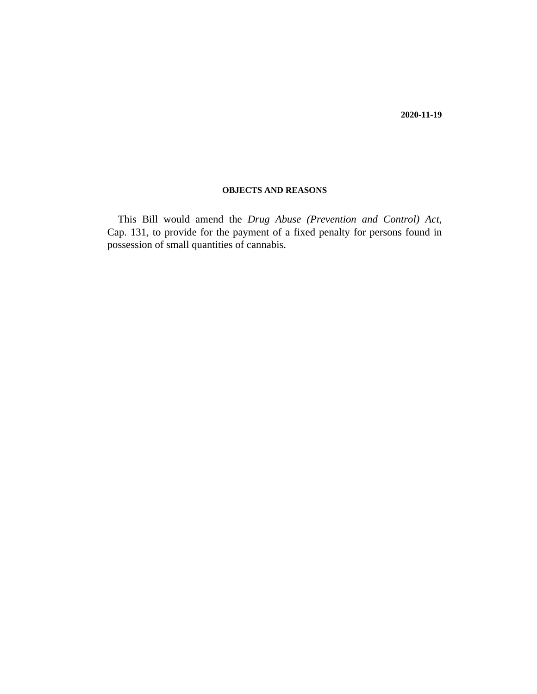#### **OBJECTS AND REASONS**

This Bill would amend the *[Drug Abuse \(Prevention and Control\) Act](http://barbadosparliament-laws.com/en/showdoc/cs/131)*, [Cap. 131,](http://barbadosparliament-laws.com/en/showdoc/cs/131) to provide for the payment of a fixed penalty for persons found in possession of small quantities of cannabis.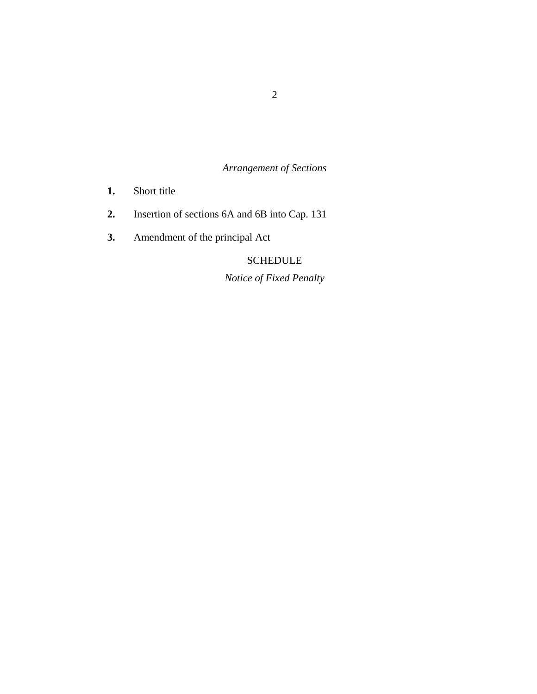*Arrangement of Sections*

- [Short title](#page-3-0) **1.**
- [Insertion of sections 6A and 6B into Cap. 131](#page-3-0) **2.**
- [Amendment of the principal Act](#page-6-0) **3.**

# **SCHEDULE**

*Notice of Fixed Penalty*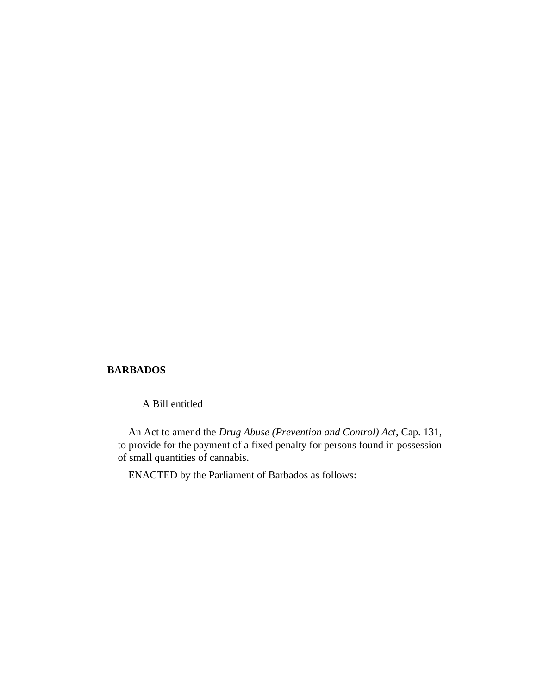#### **BARBADOS**

A Bill entitled

An Act to amend the *[Drug Abuse \(Prevention and Control\) Act](http://barbadosparliament-laws.com/en/showdoc/cs/131)*, Cap. 131, to provide for the payment of a fixed penalty for persons found in possession of small quantities of cannabis.

ENACTED by the Parliament of Barbados as follows: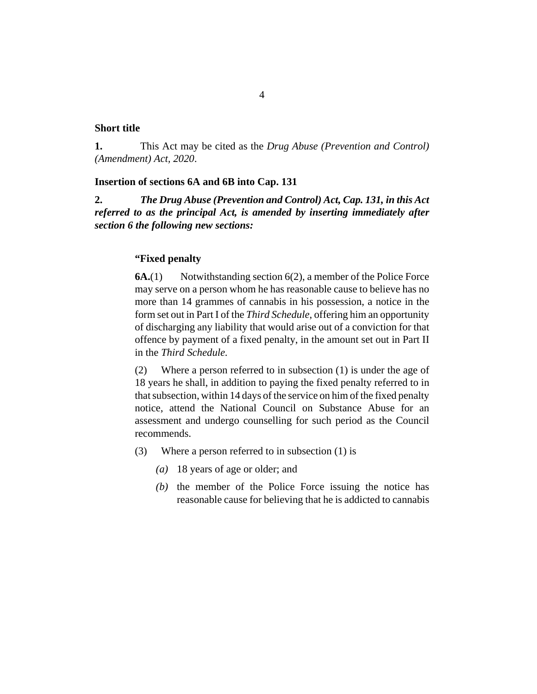#### <span id="page-3-0"></span>**Short title**

This Act may be cited as the *Drug Abuse (Prevention and Control) (Amendment) Act, 2020*. **1.**

#### **Insertion of sections 6A and 6B into Cap. 131**

*The Drug Abuse (Prevention and Control) Act, Cap. 131, in this Act referred to as the principal Act, is amended by inserting immediately after section 6 the following new sections:* **2.**

#### **"Fixed penalty**

Notwithstanding section 6(2), a member of the Police Force may serve on a person whom he has reasonable cause to believe has no more than 14 grammes of cannabis in his possession, a notice in the form set out in Part I of the *Third Schedule*, offering him an opportunity of discharging any liability that would arise out of a conviction for that offence by payment of a fixed penalty, in the amount set out in Part II in the *Third Schedule.* **6A.**(1)

Where a person referred to in subsection (1) is under the age of 18 years he shall, in addition to paying the fixed penalty referred to in that subsection, within 14 days of the service on him of the fixed penalty notice, attend the National Council on Substance Abuse for an assessment and undergo counselling for such period as the Council recommends. (2)

- Where a person referred to in subsection (1) is (3)
	- 18 years of age or older; and *(a)*
	- $(b)$  the member of the Police Force issuing the notice has reasonable cause for believing that he is addicted to cannabis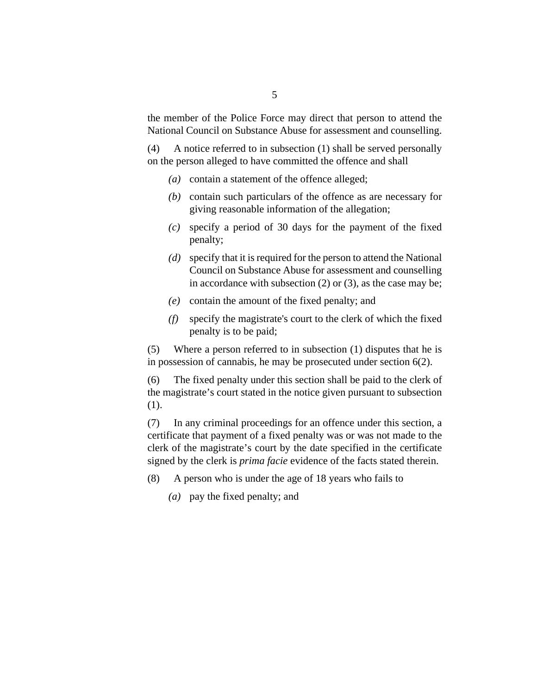the member of the Police Force may direct that person to attend the National Council on Substance Abuse for assessment and counselling.

A notice referred to in subsection (1) shall be served personally on the person alleged to have committed the offence and shall (4)

- (a) contain a statement of the offence alleged;
- (b) contain such particulars of the offence as are necessary for giving reasonable information of the allegation;
- specify a period of 30 days for the payment of the fixed *(c)* penalty;
- specify that it is required for the person to attend the National *(d)* Council on Substance Abuse for assessment and counselling in accordance with subsection  $(2)$  or  $(3)$ , as the case may be;
- contain the amount of the fixed penalty; and *(e)*
- specify the magistrate's court to the clerk of which the fixed *(f)* penalty is to be paid;

Where a person referred to in subsection (1) disputes that he is in possession of cannabis, he may be prosecuted under section 6(2). (5)

The fixed penalty under this section shall be paid to the clerk of the magistrate's court stated in the notice given pursuant to subsection (1). (6)

In any criminal proceedings for an offence under this section, a certificate that payment of a fixed penalty was or was not made to the clerk of the magistrate's court by the date specified in the certificate signed by the clerk is *prima facie* evidence of the facts stated therein. (7)

- A person who is under the age of 18 years who fails to (8)
	- pay the fixed penalty; and *(a)*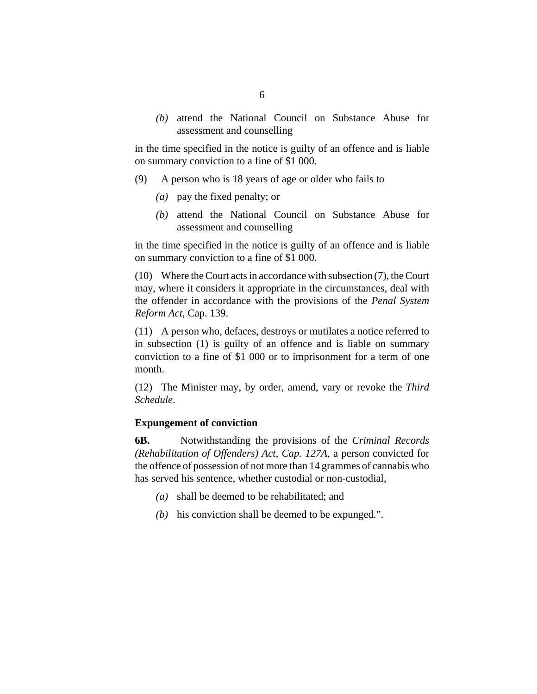attend the National Council on Substance Abuse for *(b)* assessment and counselling

in the time specified in the notice is guilty of an offence and is liable on summary conviction to a fine of \$1 000.

- A person who is 18 years of age or older who fails to (9)
	- pay the fixed penalty; or *(a)*
	- attend the National Council on Substance Abuse for *(b)* assessment and counselling

in the time specified in the notice is guilty of an offence and is liable on summary conviction to a fine of \$1 000.

Where the Court acts in accordance with subsection (7), the Court (10) may, where it considers it appropriate in the circumstances, deal with the offender in accordance with the provisions of the *[Penal System](http://barbadosparliament-laws.com/en/showdoc/cs/139) [Reform Act](http://barbadosparliament-laws.com/en/showdoc/cs/139)*, Cap. 139.

A person who, defaces, destroys or mutilates a notice referred to (11) in subsection (1) is guilty of an offence and is liable on summary conviction to a fine of \$1 000 or to imprisonment for a term of one month.

(12) The Minister may, by order, amend, vary or revoke the *Third Schedule*.

#### **Expungement of conviction**

Notwithstanding the provisions of the *[Criminal Records](http://barbadosparliament-laws.com/en/showdoc/cs/127A) [\(Rehabilitation of Offenders\) Act, Cap. 127A](http://barbadosparliament-laws.com/en/showdoc/cs/127A)*, a person convicted for the offence of possession of not more than 14 grammes of cannabis who has served his sentence, whether custodial or non-custodial, **6B.**

- shall be deemed to be rehabilitated; and *(a)*
- $(b)$  his conviction shall be deemed to be expunged.".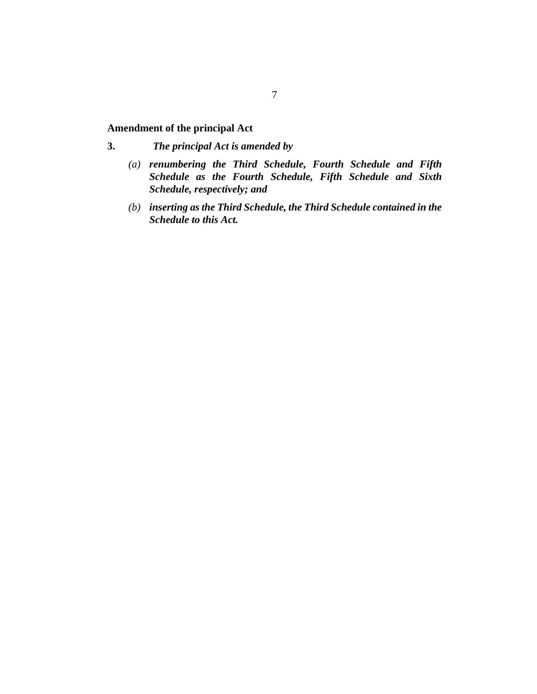## <span id="page-6-0"></span>**Amendment of the principal Act**

- *The principal Act is amended by* **3.**
	- *renumbering the Third Schedule, Fourth Schedule and Fifth (a) Schedule as the Fourth Schedule, Fifth Schedule and Sixth Schedule, respectively; and*
	- *inserting as the Third Schedule, the Third Schedule contained in the (b) Schedule to this Act.*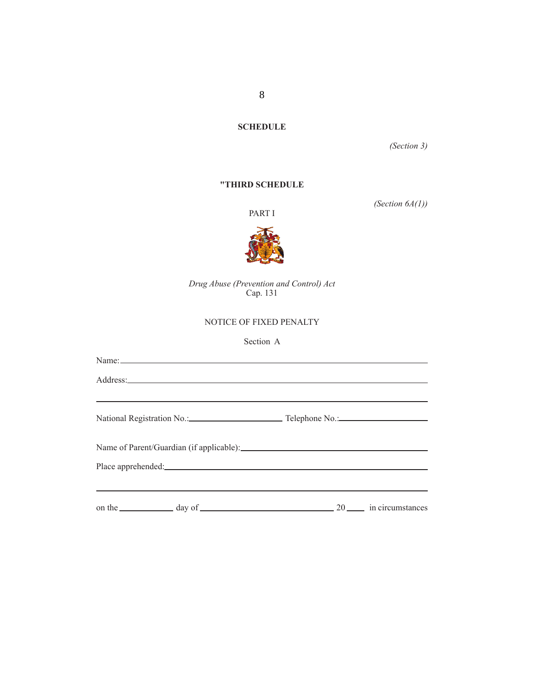# 8

**SCHEDULE**

*(Section 3)*

#### **"THIRD SCHEDULE**

PART I

*(Section 6A(1))*



*Drug Abuse (Prevention and Control) Act* Cap. 131

#### NOTICE OF FIXED PENALTY

#### Section A

| Name: |                                                                                                                                                                                                                                     |  |
|-------|-------------------------------------------------------------------------------------------------------------------------------------------------------------------------------------------------------------------------------------|--|
|       | Address: <u>Address:</u> Address: Address: Address: Address: Address: Address: Address: Address: Address: Address: Address: Address: Address: Address: Address: Address: Address: Address: Address: Address: Address: Address: Addr |  |
|       |                                                                                                                                                                                                                                     |  |
|       | National Registration No.: Telephone No.: 2008.                                                                                                                                                                                     |  |
|       |                                                                                                                                                                                                                                     |  |
|       |                                                                                                                                                                                                                                     |  |
|       |                                                                                                                                                                                                                                     |  |
|       |                                                                                                                                                                                                                                     |  |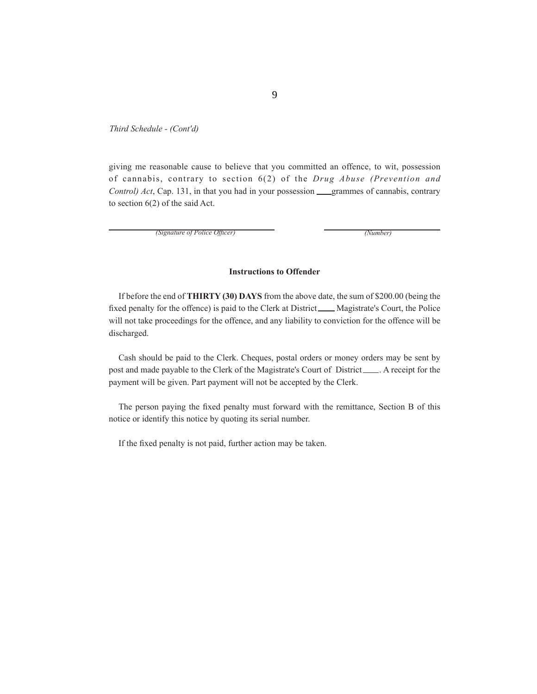*Third Schedule - (Cont'd)*

giving me reasonable cause to believe that you committed an offence, to wit, possession of cannabis, contrary to section 6(2) of the *Drug Abuse (Prevention and Control) Act*, Cap. 131, in that you had in your possession grammes of cannabis, contrary to section 6(2) of the said Act.

*(Signature of Police Officer) (Number) (Number)* 

#### **Instructions to Offender**

If before the end of **THIRTY (30) DAYS** from the above date, the sum of \$200.00 (being the fixed penalty for the offence) is paid to the Clerk at District \_\_\_\_ Magistrate's Court, the Police will not take proceedings for the offence, and any liability to conviction for the offence will be discharged.

Cash should be paid to the Clerk. Cheques, postal orders or money orders may be sent by post and made payable to the Clerk of the Magistrate's Court of District . A receipt for the payment will be given. Part payment will not be accepted by the Clerk.

The person paying the fixed penalty must forward with the remittance, Section B of this notice or identify this notice by quoting its serial number.

If the fixed penalty is not paid, further action may be taken.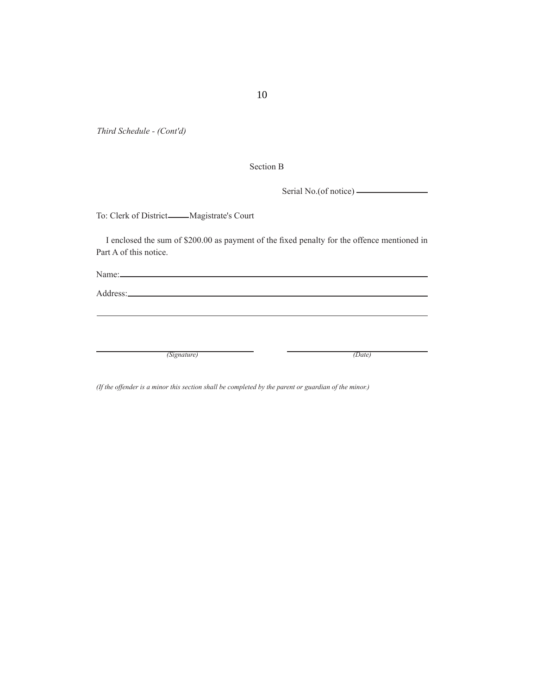*Third Schedule - (Cont'd)*

Section B

Serial No.(of notice)

To: Clerk of District Magistrate's Court

I enclosed the sum of \$200.00 as payment of the fixed penalty for the offence mentioned in Part A of this notice.

Name:

Address:

*(Signature) (Date)*

*(If the offender is a minor this section shall be completed by the parent or guardian of the minor.)*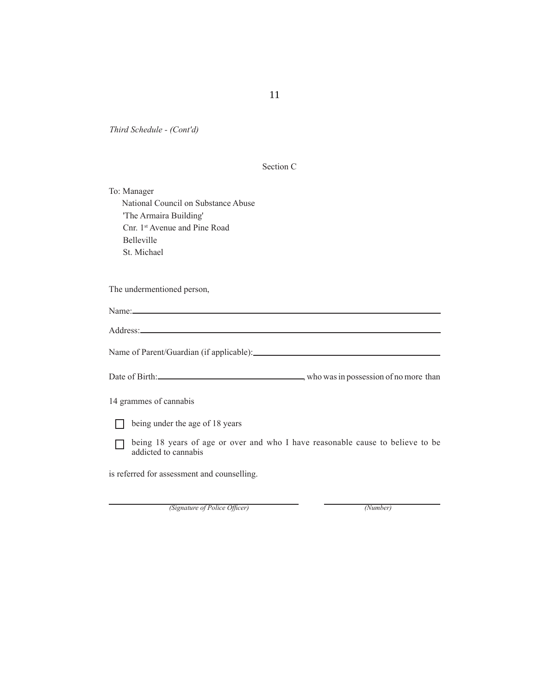*Third Schedule - (Cont'd)*

| Section C |  |
|-----------|--|
|           |  |

To: Manager National Council on Substance Abuse 'The Armaira Building' Cnr. 1st Avenue and Pine Road Belleville St. Michael

The undermentioned person,

| Name: $\frac{1}{2}$                                                                                    |
|--------------------------------------------------------------------------------------------------------|
|                                                                                                        |
|                                                                                                        |
|                                                                                                        |
| 14 grammes of cannabis                                                                                 |
| being under the age of 18 years                                                                        |
| being 18 years of age or over and who I have reasonable cause to believe to be<br>addicted to cannabis |
| is referred for assessment and counselling.                                                            |

*(Signature of Police Officer)* (*Number*)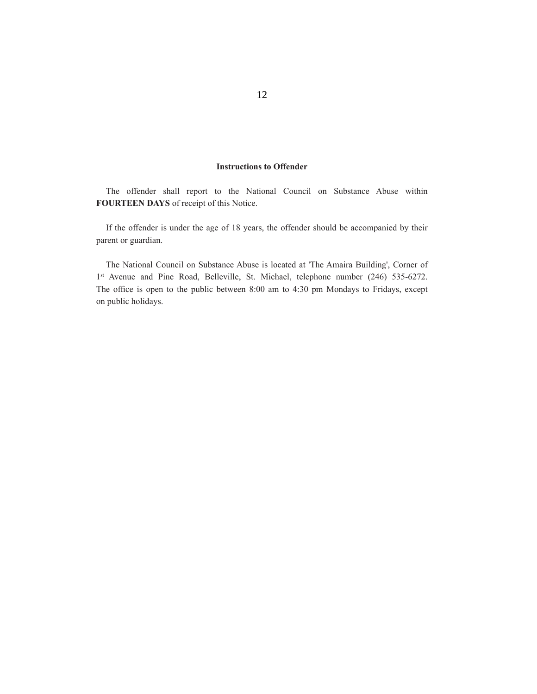#### **Instructions to Offender**

The offender shall report to the National Council on Substance Abuse within **FOURTEEN DAYS** of receipt of this Notice.

If the offender is under the age of 18 years, the offender should be accompanied by their parent or guardian.

The National Council on Substance Abuse is located at 'The Amaira Building', Corner of 1<sup>st</sup> Avenue and Pine Road, Belleville, St. Michael, telephone number (246) 535-6272. The office is open to the public between 8:00 am to 4:30 pm Mondays to Fridays, except on public holidays.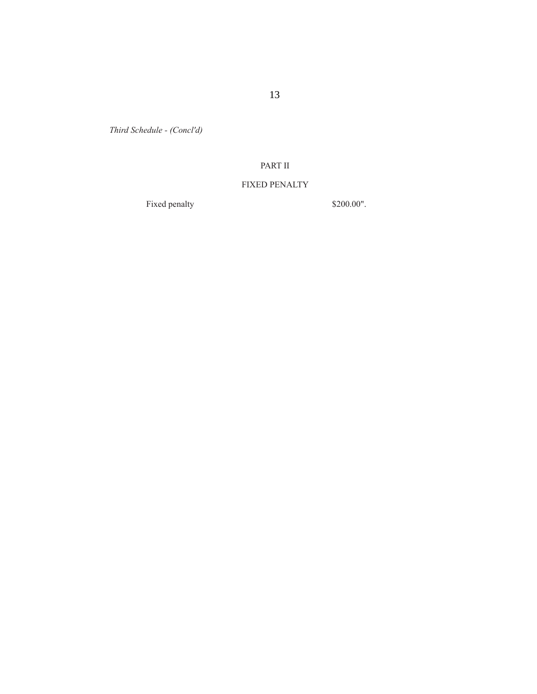*Third Schedule - (Concl'd)*

## PART II

### FIXED PENALTY

Fixed penalty \$200.00".